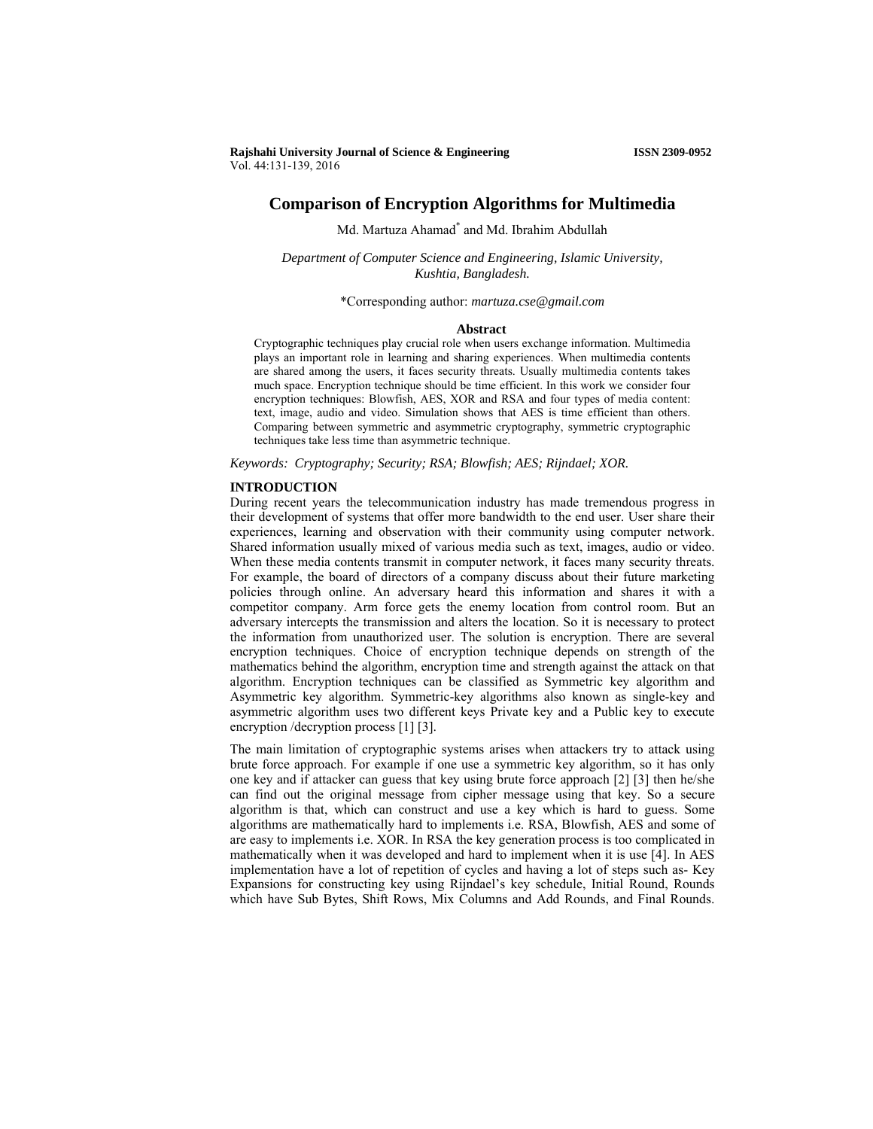**Rajshahi University Journal of Science & Engineering ISSN 2309-0952** Vol. 44:131-139, 2016

# **Comparison of Encryption Algorithms for Multimedia**

Md. Martuza Ahamad\* and Md. Ibrahim Abdullah

*Department of Computer Science and Engineering, Islamic University, Kushtia, Bangladesh.* 

#### \*Corresponding author: *martuza.cse@gmail.com*

#### **Abstract**

Cryptographic techniques play crucial role when users exchange information. Multimedia plays an important role in learning and sharing experiences. When multimedia contents are shared among the users, it faces security threats. Usually multimedia contents takes much space. Encryption technique should be time efficient. In this work we consider four encryption techniques: Blowfish, AES, XOR and RSA and four types of media content: text, image, audio and video. Simulation shows that AES is time efficient than others. Comparing between symmetric and asymmetric cryptography, symmetric cryptographic techniques take less time than asymmetric technique.

*Keywords: Cryptography; Security; RSA; Blowfish; AES; Rijndael; XOR.*

### **INTRODUCTION**

During recent years the telecommunication industry has made tremendous progress in their development of systems that offer more bandwidth to the end user. User share their experiences, learning and observation with their community using computer network. Shared information usually mixed of various media such as text, images, audio or video. When these media contents transmit in computer network, it faces many security threats. For example, the board of directors of a company discuss about their future marketing policies through online. An adversary heard this information and shares it with a competitor company. Arm force gets the enemy location from control room. But an adversary intercepts the transmission and alters the location. So it is necessary to protect the information from unauthorized user. The solution is encryption. There are several encryption techniques. Choice of encryption technique depends on strength of the mathematics behind the algorithm, encryption time and strength against the attack on that algorithm. Encryption techniques can be classified as Symmetric key algorithm and Asymmetric key algorithm. Symmetric-key algorithms also known as single-key and asymmetric algorithm uses two different keys Private key and a Public key to execute encryption /decryption process [1] [3].

The main limitation of cryptographic systems arises when attackers try to attack using brute force approach. For example if one use a symmetric key algorithm, so it has only one key and if attacker can guess that key using brute force approach [2] [3] then he/she can find out the original message from cipher message using that key. So a secure algorithm is that, which can construct and use a key which is hard to guess. Some algorithms are mathematically hard to implements i.e. RSA, Blowfish, AES and some of are easy to implements i.e. XOR. In RSA the key generation process is too complicated in mathematically when it was developed and hard to implement when it is use [4]. In AES implementation have a lot of repetition of cycles and having a lot of steps such as- Key Expansions for constructing key using Rijndael's key schedule, Initial Round, Rounds which have Sub Bytes, Shift Rows, Mix Columns and Add Rounds, and Final Rounds.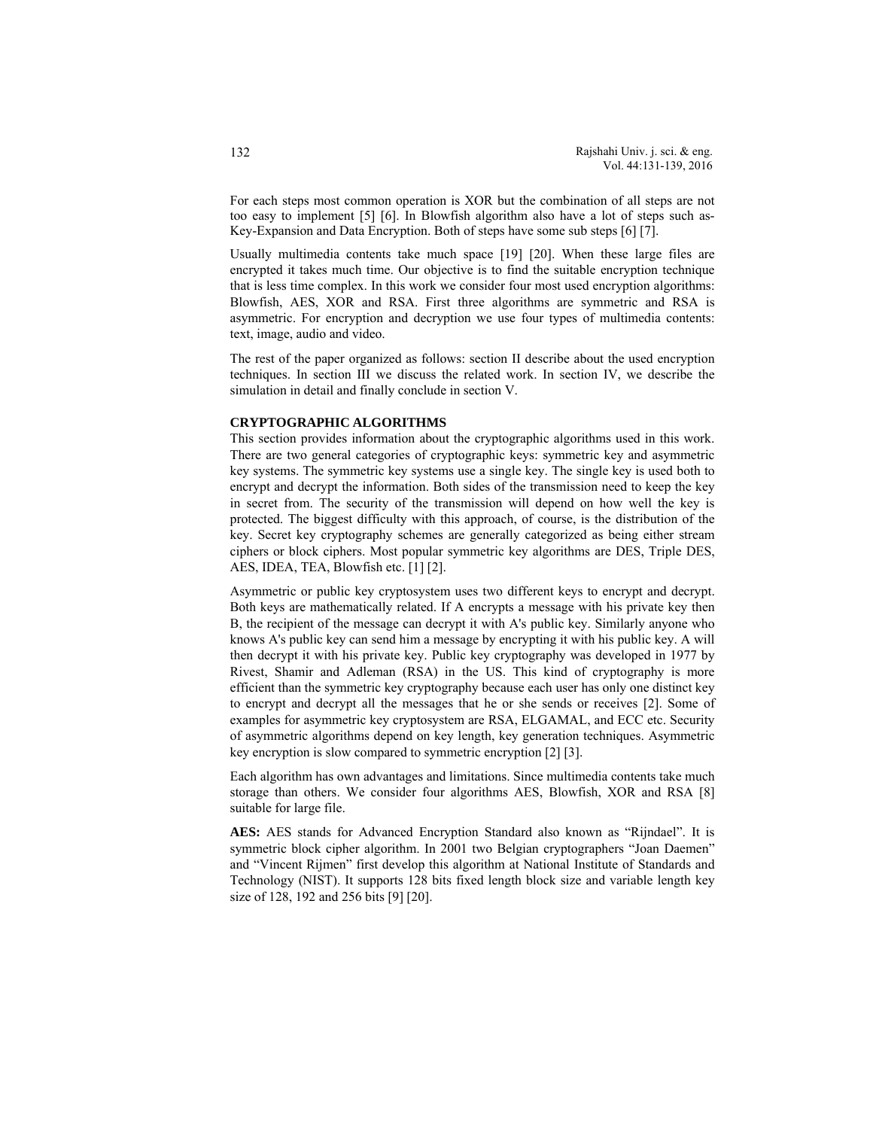For each steps most common operation is XOR but the combination of all steps are not too easy to implement [5] [6]. In Blowfish algorithm also have a lot of steps such as-Key-Expansion and Data Encryption. Both of steps have some sub steps [6] [7].

Usually multimedia contents take much space [19] [20]. When these large files are encrypted it takes much time. Our objective is to find the suitable encryption technique that is less time complex. In this work we consider four most used encryption algorithms: Blowfish, AES, XOR and RSA. First three algorithms are symmetric and RSA is asymmetric. For encryption and decryption we use four types of multimedia contents: text, image, audio and video.

The rest of the paper organized as follows: section II describe about the used encryption techniques. In section III we discuss the related work. In section IV, we describe the simulation in detail and finally conclude in section V.

## **CRYPTOGRAPHIC ALGORITHMS**

This section provides information about the cryptographic algorithms used in this work. There are two general categories of cryptographic keys: symmetric key and asymmetric key systems. The symmetric key systems use a single key. The single key is used both to encrypt and decrypt the information. Both sides of the transmission need to keep the key in secret from. The security of the transmission will depend on how well the key is protected. The biggest difficulty with this approach, of course, is the distribution of the key. Secret key cryptography schemes are generally categorized as being either stream ciphers or block ciphers. Most popular symmetric key algorithms are DES, Triple DES, AES, IDEA, TEA, Blowfish etc. [1] [2].

Asymmetric or public key cryptosystem uses two different keys to encrypt and decrypt. Both keys are mathematically related. If A encrypts a message with his private key then B, the recipient of the message can decrypt it with A's public key. Similarly anyone who knows A's public key can send him a message by encrypting it with his public key. A will then decrypt it with his private key. Public key cryptography was developed in 1977 by Rivest, Shamir and Adleman (RSA) in the US. This kind of cryptography is more efficient than the symmetric key cryptography because each user has only one distinct key to encrypt and decrypt all the messages that he or she sends or receives [2]. Some of examples for asymmetric key cryptosystem are RSA, ELGAMAL, and ECC etc. Security of asymmetric algorithms depend on key length, key generation techniques. Asymmetric key encryption is slow compared to symmetric encryption [2] [3].

Each algorithm has own advantages and limitations. Since multimedia contents take much storage than others. We consider four algorithms AES, Blowfish, XOR and RSA [8] suitable for large file.

**AES:** AES stands for Advanced Encryption Standard also known as "Rijndael". It is symmetric block cipher algorithm. In 2001 two Belgian cryptographers "Joan Daemen" and "Vincent Rijmen" first develop this algorithm at National Institute of Standards and Technology (NIST). It supports 128 bits fixed length block size and variable length key size of 128, 192 and 256 bits [9] [20].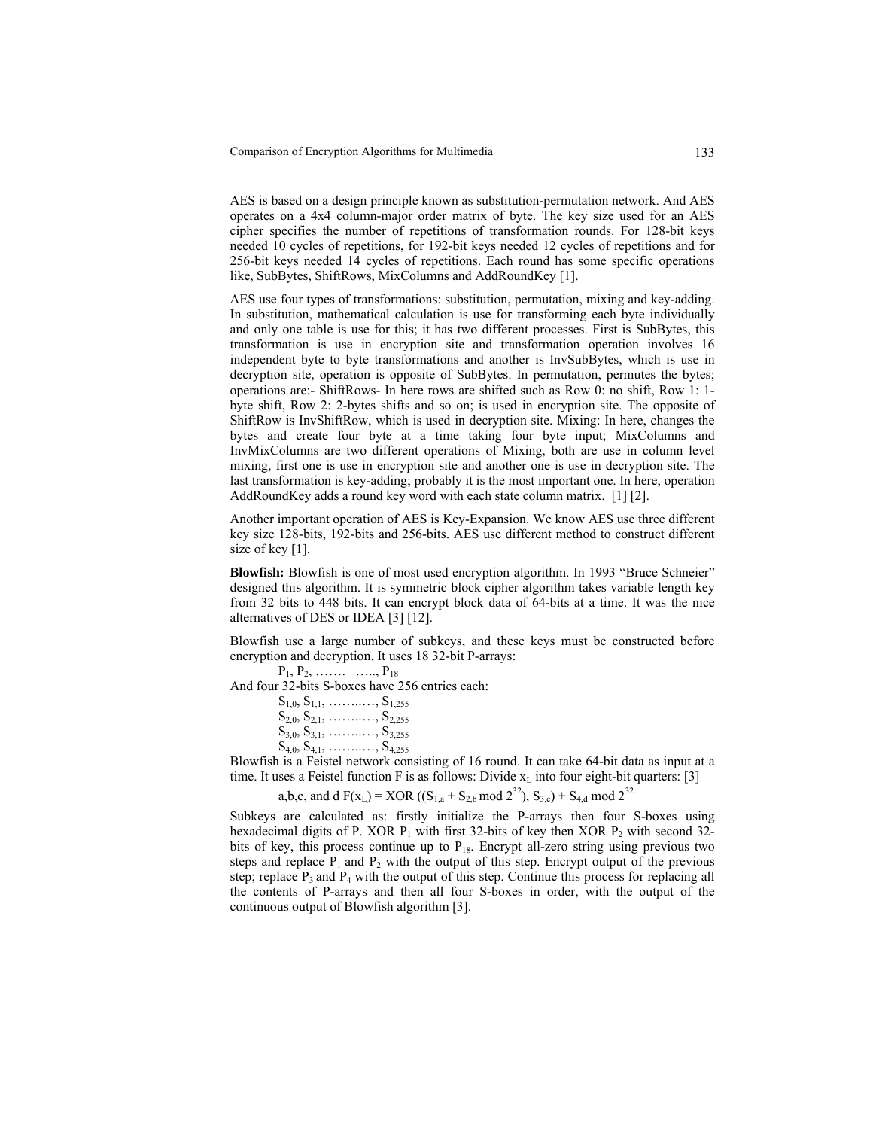Comparison of Encryption Algorithms for Multimedia 133

AES is based on a design principle known as substitution-permutation network. And AES operates on a 4x4 column-major order matrix of byte. The key size used for an AES cipher specifies the number of repetitions of transformation rounds. For 128-bit keys needed 10 cycles of repetitions, for 192-bit keys needed 12 cycles of repetitions and for 256-bit keys needed 14 cycles of repetitions. Each round has some specific operations like, SubBytes, ShiftRows, MixColumns and AddRoundKey [1].

AES use four types of transformations: substitution, permutation, mixing and key-adding. In substitution, mathematical calculation is use for transforming each byte individually and only one table is use for this; it has two different processes. First is SubBytes, this transformation is use in encryption site and transformation operation involves 16 independent byte to byte transformations and another is InvSubBytes, which is use in decryption site, operation is opposite of SubBytes. In permutation, permutes the bytes; operations are:- ShiftRows- In here rows are shifted such as Row 0: no shift, Row 1: 1 byte shift, Row 2: 2-bytes shifts and so on; is used in encryption site. The opposite of ShiftRow is InvShiftRow, which is used in decryption site. Mixing: In here, changes the bytes and create four byte at a time taking four byte input; MixColumns and InvMixColumns are two different operations of Mixing, both are use in column level mixing, first one is use in encryption site and another one is use in decryption site. The last transformation is key-adding; probably it is the most important one. In here, operation AddRoundKey adds a round key word with each state column matrix. [1] [2].

Another important operation of AES is Key-Expansion. We know AES use three different key size 128-bits, 192-bits and 256-bits. AES use different method to construct different size of key [1].

**Blowfish:** Blowfish is one of most used encryption algorithm. In 1993 "Bruce Schneier" designed this algorithm. It is symmetric block cipher algorithm takes variable length key from 32 bits to 448 bits. It can encrypt block data of 64-bits at a time. It was the nice alternatives of DES or IDEA [3] [12].

Blowfish use a large number of subkeys, and these keys must be constructed before encryption and decryption. It uses 18 32-bit P-arrays:

 $P_1, P_2, \ldots \ldots \ldots \ldots \ldots$ ,  $P_{18}$ 

And four 32-bits S-boxes have 256 entries each:

 $S_{1,0}, S_{1,1}, \ldots, S_{1,255}$  $S_{2,0}, S_{2,1}, \ldots, S_{2,255}$  $S_{3,0}, S_{3,1}, \ldots, S_{3,255}$ 

 $S_{4,0}, S_{4,1}, \ldots, S_{4,255}$ 

Blowfish is a Feistel network consisting of 16 round. It can take 64-bit data as input at a time. It uses a Feistel function F is as follows: Divide  $x_L$  into four eight-bit quarters: [3]

a,b,c, and d F(x<sub>L</sub>) = XOR ((S<sub>1,a</sub> + S<sub>2,b</sub> mod 2<sup>32</sup>), S<sub>3,c</sub>) + S<sub>4,d</sub> mod 2<sup>32</sup>

Subkeys are calculated as: firstly initialize the P-arrays then four S-boxes using hexadecimal digits of P. XOR  $P_1$  with first 32-bits of key then XOR  $P_2$  with second 32bits of key, this process continue up to  $P_{18}$ . Encrypt all-zero string using previous two steps and replace  $P_1$  and  $P_2$  with the output of this step. Encrypt output of the previous step; replace  $P_3$  and  $P_4$  with the output of this step. Continue this process for replacing all the contents of P-arrays and then all four S-boxes in order, with the output of the continuous output of Blowfish algorithm [3].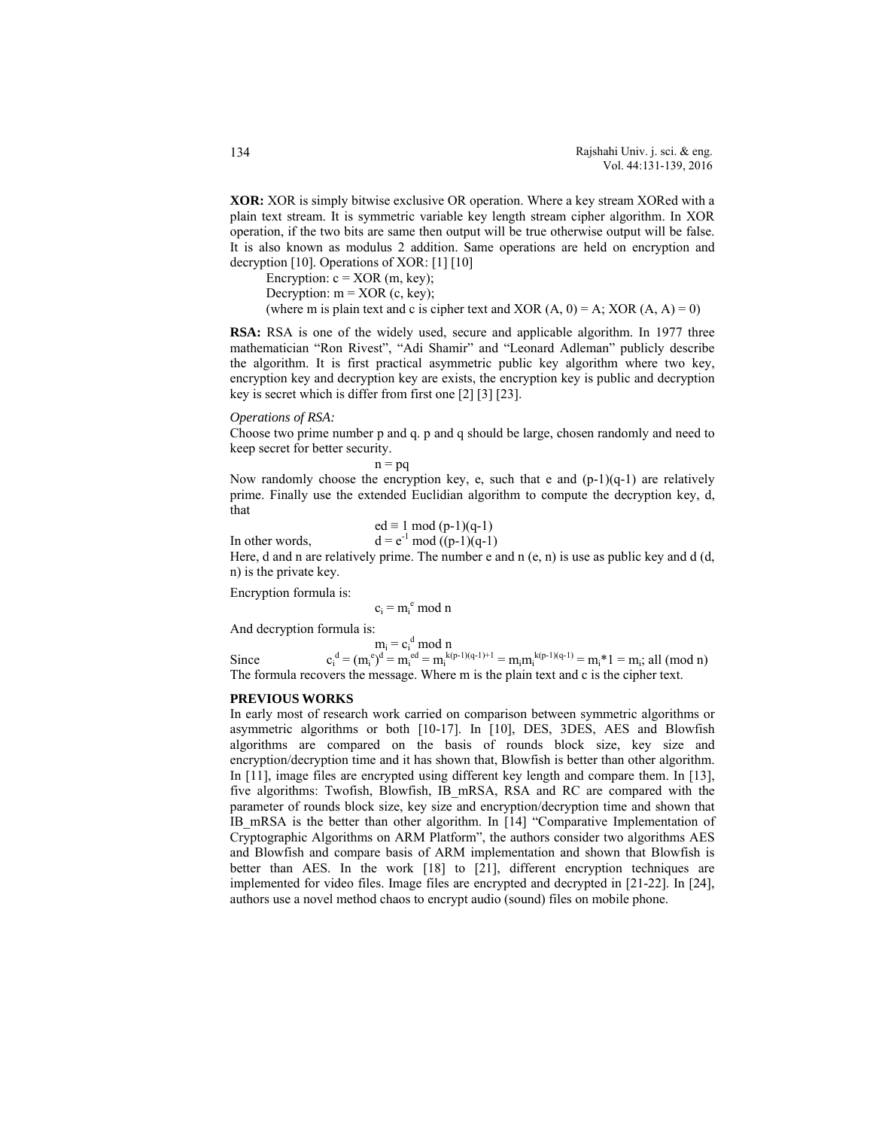**XOR:** XOR is simply bitwise exclusive OR operation. Where a key stream XORed with a plain text stream. It is symmetric variable key length stream cipher algorithm. In XOR operation, if the two bits are same then output will be true otherwise output will be false. It is also known as modulus 2 addition. Same operations are held on encryption and decryption [10]. Operations of XOR: [1] [10]

Encryption:  $c = XOR$  (m, key); Decryption:  $m = XOR$  (c, key);

(where m is plain text and c is cipher text and XOR  $(A, 0) = A$ ; XOR  $(A, A) = 0$ )

**RSA:** RSA is one of the widely used, secure and applicable algorithm. In 1977 three mathematician "Ron Rivest", "Adi Shamir" and "Leonard Adleman" publicly describe the algorithm. It is first practical asymmetric public key algorithm where two key, encryption key and decryption key are exists, the encryption key is public and decryption key is secret which is differ from first one [2] [3] [23].

#### *Operations of RSA:*

Choose two prime number p and q. p and q should be large, chosen randomly and need to keep secret for better security.

 $n = pq$ 

Now randomly choose the encryption key, e, such that e and  $(p-1)(q-1)$  are relatively prime. Finally use the extended Euclidian algorithm to compute the decryption key, d, that

 $ed ≡ 1 mod (p-1)(q-1)$ In other words,  $d = e^{-1} \mod ((p-1)(q-1))$ 

Here, d and n are relatively prime. The number e and  $n(e, n)$  is use as public key and d  $(d,$ n) is the private key.

Encryption formula is:

 $c_i = m_i^e \mod n$ 

And decryption formula is:

 $m_i = c_i^d \mod n$ <br>  $d = (m_i^e)^d = m_i^{ed} = m_i^{k(p-1)(q-1)+1} = m_i m_i^{k(p-1)(q-1)} = m_i * 1 = m_i$ ; all (mod n) Since The formula recovers the message. Where m is the plain text and c is the cipher text.

#### **PREVIOUS WORKS**

In early most of research work carried on comparison between symmetric algorithms or asymmetric algorithms or both [10-17]. In [10], DES, 3DES, AES and Blowfish algorithms are compared on the basis of rounds block size, key size and encryption/decryption time and it has shown that, Blowfish is better than other algorithm. In [11], image files are encrypted using different key length and compare them. In [13], five algorithms: Twofish, Blowfish, IB\_mRSA, RSA and RC are compared with the parameter of rounds block size, key size and encryption/decryption time and shown that IB mRSA is the better than other algorithm. In [14] "Comparative Implementation of Cryptographic Algorithms on ARM Platform", the authors consider two algorithms AES and Blowfish and compare basis of ARM implementation and shown that Blowfish is better than AES. In the work [18] to [21], different encryption techniques are implemented for video files. Image files are encrypted and decrypted in [21-22]. In [24], authors use a novel method chaos to encrypt audio (sound) files on mobile phone.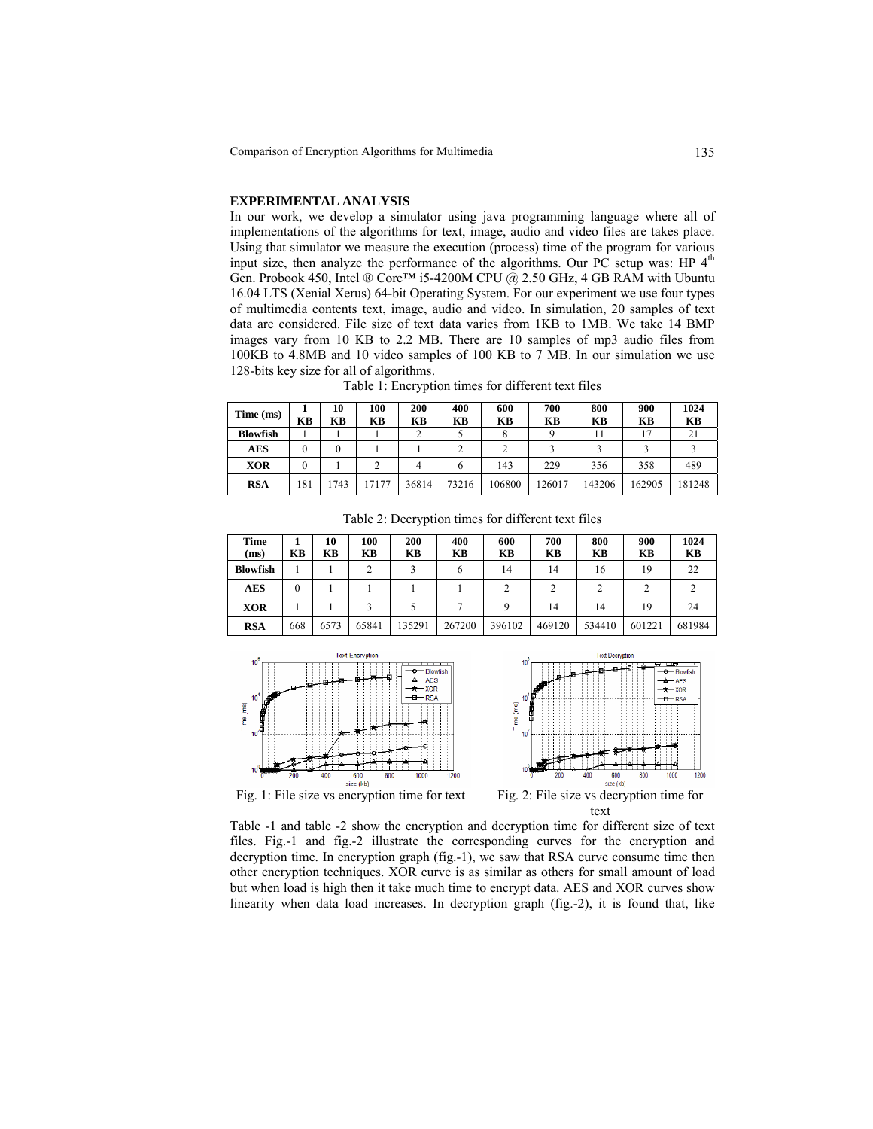Comparison of Encryption Algorithms for Multimedia 135

#### **EXPERIMENTAL ANALYSIS**

In our work, we develop a simulator using java programming language where all of implementations of the algorithms for text, image, audio and video files are takes place. Using that simulator we measure the execution (process) time of the program for various input size, then analyze the performance of the algorithms. Our PC setup was: HP  $4<sup>th</sup>$ Gen. Probook 450, Intel ® Core<sup>™</sup> i5-4200M CPU @ 2.50 GHz, 4 GB RAM with Ubuntu 16.04 LTS (Xenial Xerus) 64-bit Operating System. For our experiment we use four types of multimedia contents text, image, audio and video. In simulation, 20 samples of text data are considered. File size of text data varies from 1KB to 1MB. We take 14 BMP images vary from 10 KB to 2.2 MB. There are 10 samples of mp3 audio files from 100KB to 4.8MB and 10 video samples of 100 KB to 7 MB. In our simulation we use 128-bits key size for all of algorithms.

| Time (ms)       | KВ  | 10<br><b>KB</b> | 100<br>KB | 200<br>KB | 400<br>KВ | 600<br>KB | 700<br>KВ | 800<br>KВ | 900<br>KВ | 1024<br>KB |
|-----------------|-----|-----------------|-----------|-----------|-----------|-----------|-----------|-----------|-----------|------------|
| <b>Blowfish</b> |     |                 |           |           |           |           |           |           | 17        | 41         |
| AES             |     |                 |           |           |           |           |           |           |           |            |
| <b>XOR</b>      |     |                 |           |           | h         | 143       | 229       | 356       | 358       | 489        |
| <b>RSA</b>      | 181 | 743             | 17177     | 36814     | 73216     | 106800    | 26017     | 143206    | 162905    | 181248     |

Table 1: Encryption times for different text files

| Time<br>(ms)    | <b>KB</b> | 10<br>KB | 100<br><b>KB</b> | 200<br>KВ | 400<br><b>KB</b> | 600<br>KB | 700<br><b>KB</b> | 800<br><b>KB</b> | 900<br>KB | 1024<br>KВ |
|-----------------|-----------|----------|------------------|-----------|------------------|-----------|------------------|------------------|-----------|------------|
| <b>Blowfish</b> |           |          |                  |           | o                | 14        | 14               | 16               | 19        | 22         |
| <b>AES</b>      | $\theta$  |          |                  |           |                  |           | ⌒                | ∼                |           |            |
| <b>XOR</b>      |           |          |                  |           |                  |           | 14               | 14               | 19        | 24         |

**RSA** | 668 | 6573 | 65841 | 135291 | 267200 | 396102 | 469120 | 534410 | 601221 | 681984

Table 2: Decryption times for different text files





Fig. 1: File size vs encryption time for text Fig. 2: File size vs decryption time for



Table -1 and table -2 show the encryption and decryption time for different size of text files. Fig.-1 and fig.-2 illustrate the corresponding curves for the encryption and decryption time. In encryption graph (fig.-1), we saw that RSA curve consume time then other encryption techniques. XOR curve is as similar as others for small amount of load but when load is high then it take much time to encrypt data. AES and XOR curves show linearity when data load increases. In decryption graph (fig.-2), it is found that, like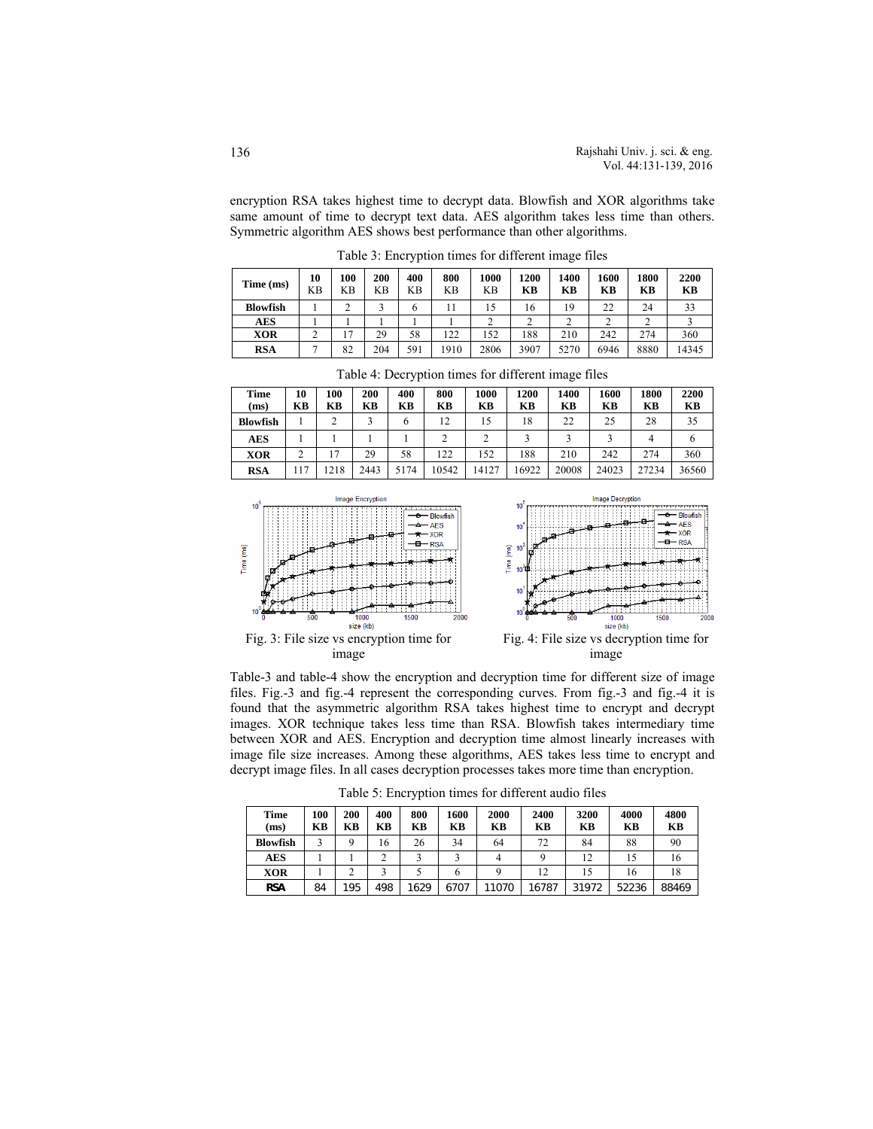encryption RSA takes highest time to decrypt data. Blowfish and XOR algorithms take same amount of time to decrypt text data. AES algorithm takes less time than others. Symmetric algorithm AES shows best performance than other algorithms.

| Time (ms)       | 10<br>KB | 100<br>KΒ | 200<br>KВ | 400<br>KB | 800<br>KΒ | 1000<br>KВ | 1200<br>KВ | 1400<br>KВ | 1600<br>KВ | 1800<br>KВ | 2200<br>KB |
|-----------------|----------|-----------|-----------|-----------|-----------|------------|------------|------------|------------|------------|------------|
| <b>Blowfish</b> |          |           |           |           |           | 15         | 16         | 19         | 22         | 24         | 33         |
| AES             |          |           |           |           |           |            |            |            |            |            |            |
| <b>XOR</b>      |          | ∽         | 29        | 58        | 122       | 52ء        | 188        | 210        | 242        | 274        | 360        |
| <b>RSA</b>      |          | 82        | 204       | 591       | 1910      | 2806       | 3907       | 5270       | 6946       | 8880       | 14345      |

Table 3: Encryption times for different image files

|                 |          |           |           | - -       |           |            |            | -          |            |            |            |
|-----------------|----------|-----------|-----------|-----------|-----------|------------|------------|------------|------------|------------|------------|
| Time<br>(ms)    | 10<br>KB | 100<br>KВ | 200<br>KВ | 400<br>KB | 800<br>KB | 1000<br>KВ | 1200<br>KВ | 1400<br>KB | 1600<br>KВ | 1800<br>KВ | 2200<br>KВ |
| <b>Blowfish</b> |          |           |           | 6         | 12        | 15         | 18         | 22         | 25         | 28         | 35         |
| AES             |          |           |           |           |           |            |            |            |            |            |            |
| <b>XOR</b>      | ◠        | ⇁         | 29        | 58        | 22        | 152        | 188        | 210        | 242        | 274        | 360        |
| <b>RSA</b>      |          | 218       | 2443      | 5174      | 10542     | 14127      | 6922       | 20008      | 24023      | 27234      | 36560      |

Table 4: Decryption times for different image files





image

 Fig. 4: File size vs decryption time for image

Table-3 and table-4 show the encryption and decryption time for different size of image files. Fig.-3 and fig.-4 represent the corresponding curves. From fig.-3 and fig.-4 it is found that the asymmetric algorithm RSA takes highest time to encrypt and decrypt images. XOR technique takes less time than RSA. Blowfish takes intermediary time between XOR and AES. Encryption and decryption time almost linearly increases with image file size increases. Among these algorithms, AES takes less time to encrypt and decrypt image files. In all cases decryption processes takes more time than encryption.

Table 5: Encryption times for different audio files

| Time<br>(ms)    | 100<br>KB | 200<br>KB | 400<br>KВ | 800<br>KВ | 1600<br>KВ | 2000<br>KВ | 2400<br>KВ | 3200<br>KВ | 4000<br>KВ | 4800<br>KB |
|-----------------|-----------|-----------|-----------|-----------|------------|------------|------------|------------|------------|------------|
| <b>Blowfish</b> | 3         |           | 16        | 26        | 34         | 64         | 72         | 84         | 88         | 90         |
| AES             |           |           |           |           |            |            |            | 12         | 15         | 16         |
| <b>XOR</b>      |           |           |           |           |            |            | 12         | 15         | 16         | 18         |
| <b>RSA</b>      | 84        | 95        | 498       | 1629      | 6707       | 1070       | 16787      | 31972      | 52236      | 88469      |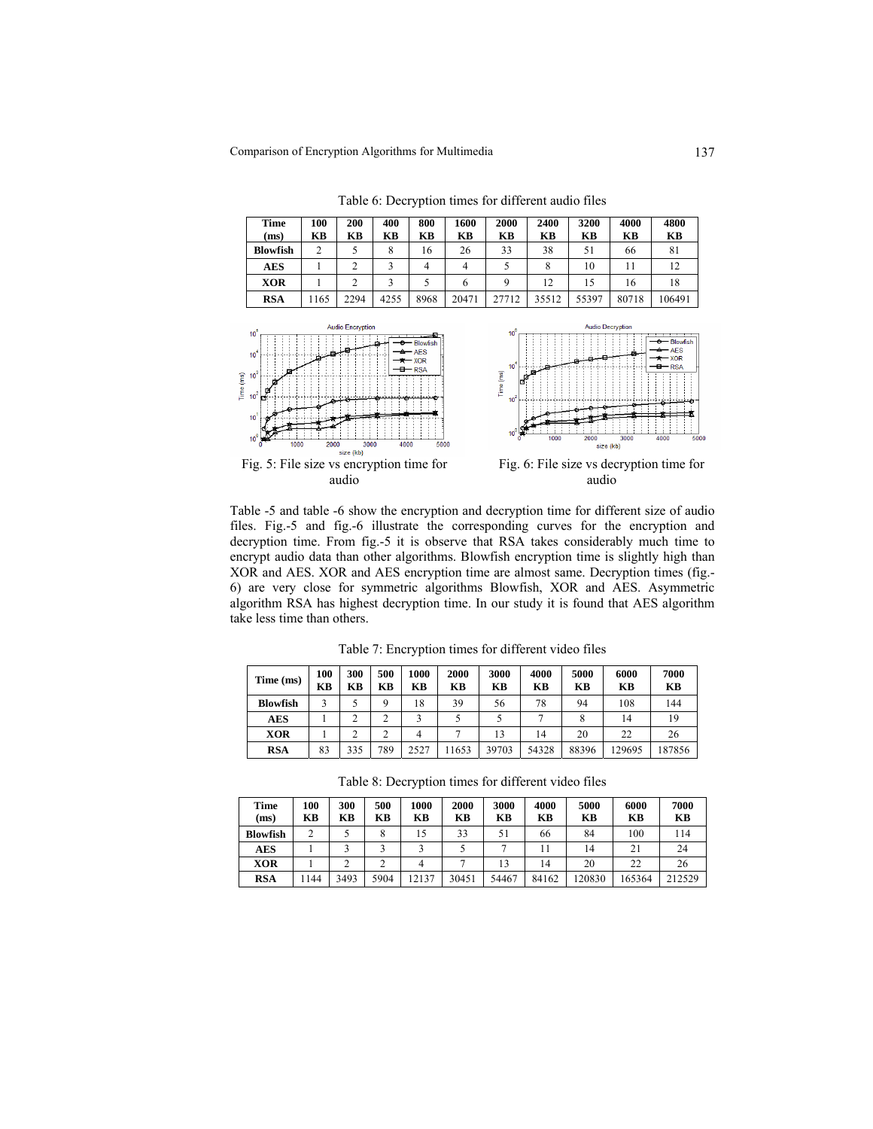| Time<br>(ms)    | 100<br>KВ | 200<br>KВ | 400<br>KВ | 800<br>KВ | 1600<br>KB | 2000<br>KВ | 2400<br>KВ | 3200<br>KВ | 4000<br>KВ | 4800<br>KB |
|-----------------|-----------|-----------|-----------|-----------|------------|------------|------------|------------|------------|------------|
| <b>Blowfish</b> | ↑<br>∸    |           | 8         | 16        | 26         | 33         | 38         | 51         | 66         | 81         |
| AES             |           |           |           | 4         |            |            |            | 10         |            |            |
| XOR             |           |           |           |           | n          |            | 12         |            | 16         | 18         |
| RSA             | 165       | 2294      | 4255      | 8968      | 20471      | 27712      | 35512      | 55397      | 80718      | 106491     |

Table 6: Decryption times for different audio files



Table -5 and table -6 show the encryption and decryption time for different size of audio files. Fig.-5 and fig.-6 illustrate the corresponding curves for the encryption and decryption time. From fig.-5 it is observe that RSA takes considerably much time to encrypt audio data than other algorithms. Blowfish encryption time is slightly high than XOR and AES. XOR and AES encryption time are almost same. Decryption times (fig.- 6) are very close for symmetric algorithms Blowfish, XOR and AES. Asymmetric algorithm RSA has highest decryption time. In our study it is found that AES algorithm take less time than others.

| Time (ms)       | 100<br>KB | 300<br>KB | 500<br>KB | 1000<br>KВ | 2000<br>KB | 3000<br>KВ | 4000<br>KВ | 5000<br>KB | 6000<br>KВ | 7000<br>KB |
|-----------------|-----------|-----------|-----------|------------|------------|------------|------------|------------|------------|------------|
| <b>Blowfish</b> |           |           | Q         | 18         | 39         | 56         | 78         | 94         | 108        | 144        |
| AES             |           | າ         |           |            |            |            |            |            | 14         | 19         |
| XOR             |           | 2         |           | 4          |            | 13         | 14         | 20         | 22         | 26         |
| RSA             | 83        | 335       | 789       | 2527       | 1653       | 39703      | 54328      | 88396      | 29695      | 187856     |

Table 7: Encryption times for different video files

Table 8: Decryption times for different video files

| Time<br>(ms)    | 100<br><b>KB</b> | 300<br>KB | 500<br>KВ | 1000<br>KВ | 2000<br><b>KB</b> | 3000<br>KB | 4000<br>KВ | 5000<br>KB | 6000<br>KВ | 7000<br>KВ |
|-----------------|------------------|-----------|-----------|------------|-------------------|------------|------------|------------|------------|------------|
| <b>Blowfish</b> | ↑                |           |           | 15         | 33                | 5.         | 66         | 84         | 100        | 114        |
| AES             |                  |           |           |            |                   |            |            | 14         | 21         | 24         |
| <b>XOR</b>      |                  |           |           |            |                   |            | 14         | 20         | 22         | 26         |
| RSA             | 144              | 3493      | 5904      | 2137       | 30451             | 54467      | 84162      | 20830      | 65364      | 212529     |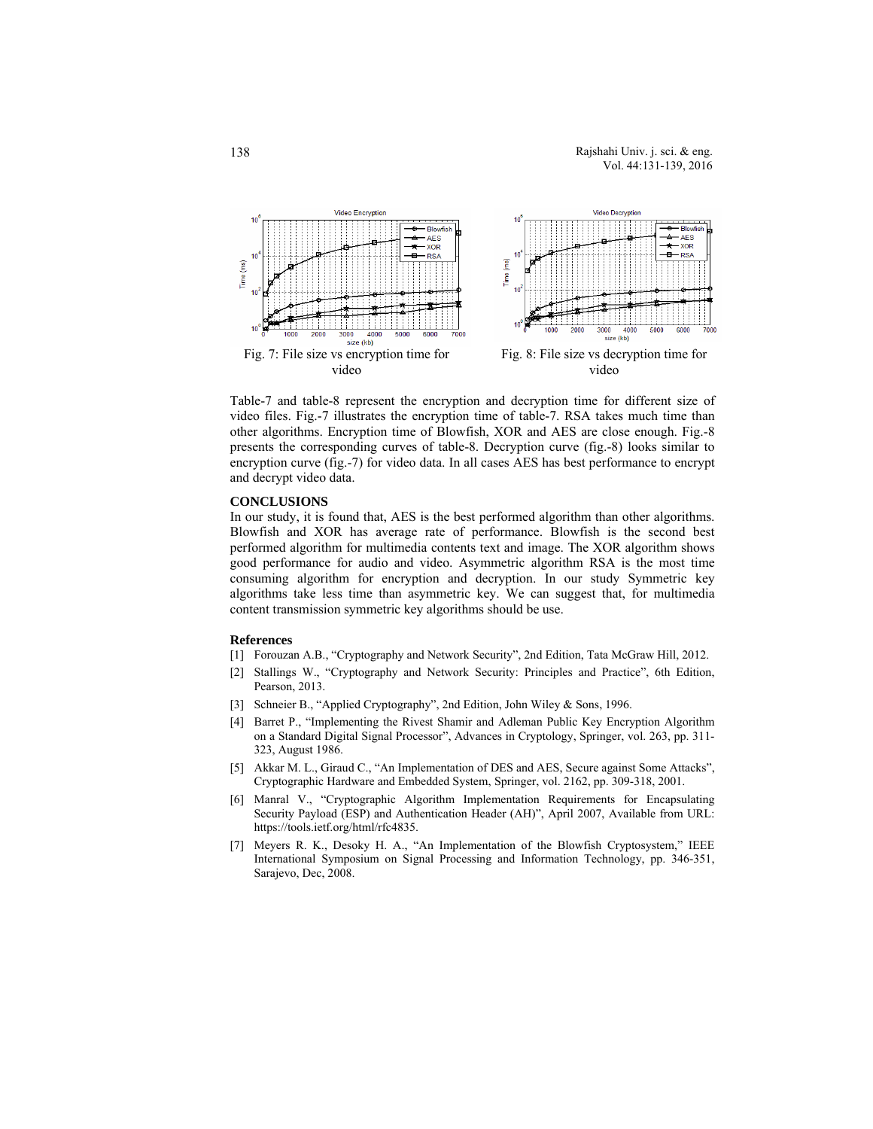

Table-7 and table-8 represent the encryption and decryption time for different size of video files. Fig.-7 illustrates the encryption time of table-7. RSA takes much time than other algorithms. Encryption time of Blowfish, XOR and AES are close enough. Fig.-8 presents the corresponding curves of table-8. Decryption curve (fig.-8) looks similar to encryption curve (fig.-7) for video data. In all cases AES has best performance to encrypt and decrypt video data.

## **CONCLUSIONS**

In our study, it is found that, AES is the best performed algorithm than other algorithms. Blowfish and XOR has average rate of performance. Blowfish is the second best performed algorithm for multimedia contents text and image. The XOR algorithm shows good performance for audio and video. Asymmetric algorithm RSA is the most time consuming algorithm for encryption and decryption. In our study Symmetric key algorithms take less time than asymmetric key. We can suggest that, for multimedia content transmission symmetric key algorithms should be use.

#### **References**

- [1] Forouzan A.B., "Cryptography and Network Security", 2nd Edition, Tata McGraw Hill, 2012.
- [2] Stallings W., "Cryptography and Network Security: Principles and Practice", 6th Edition, Pearson, 2013.
- [3] Schneier B., "Applied Cryptography", 2nd Edition, John Wiley & Sons, 1996.
- [4] Barret P., "Implementing the Rivest Shamir and Adleman Public Key Encryption Algorithm on a Standard Digital Signal Processor", Advances in Cryptology, Springer, vol. 263, pp. 311- 323, August 1986.
- [5] Akkar M. L., Giraud C., "An Implementation of DES and AES, Secure against Some Attacks", Cryptographic Hardware and Embedded System, Springer, vol. 2162, pp. 309-318, 2001.
- [6] Manral V., "Cryptographic Algorithm Implementation Requirements for Encapsulating Security Payload (ESP) and Authentication Header (AH)", April 2007, Available from URL: https://tools.ietf.org/html/rfc4835.
- [7] Meyers R. K., Desoky H. A., "An Implementation of the Blowfish Cryptosystem," IEEE International Symposium on Signal Processing and Information Technology, pp. 346-351, Sarajevo, Dec, 2008.